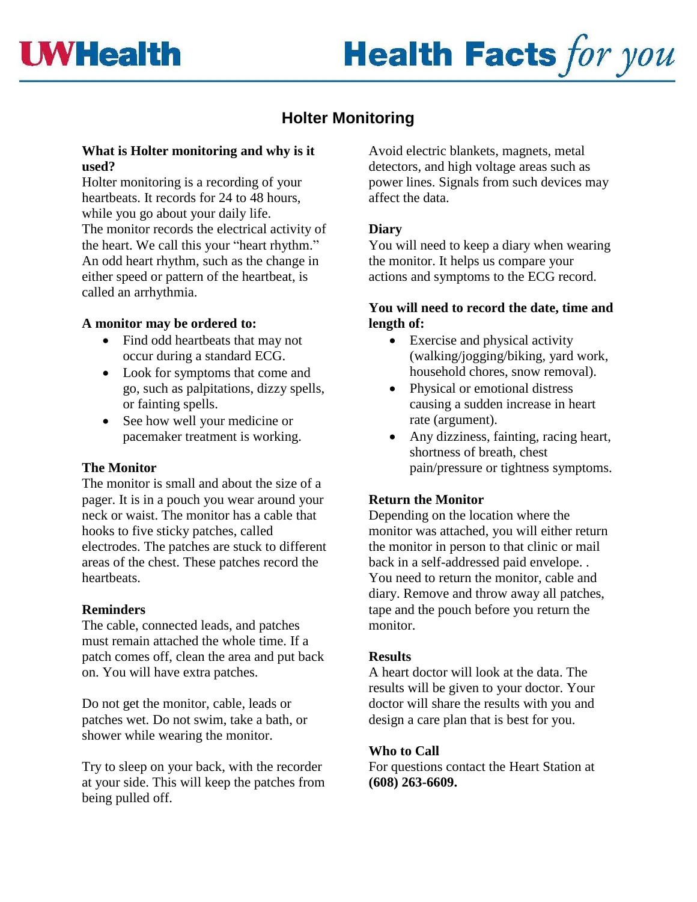

# **Health Facts for you**

## **Holter Monitoring**

### **What is Holter monitoring and why is it used?**

Holter monitoring is a recording of your heartbeats. It records for 24 to 48 hours, while you go about your daily life. The monitor records the electrical activity of the heart. We call this your "heart rhythm." An odd heart rhythm, such as the change in either speed or pattern of the heartbeat, is called an arrhythmia.

### **A monitor may be ordered to:**

- Find odd heartbeats that may not occur during a standard ECG.
- Look for symptoms that come and go, such as palpitations, dizzy spells, or fainting spells.
- See how well your medicine or pacemaker treatment is working.

### **The Monitor**

The monitor is small and about the size of a pager. It is in a pouch you wear around your neck or waist. The monitor has a cable that hooks to five sticky patches, called electrodes. The patches are stuck to different areas of the chest. These patches record the heartbeats.

### **Reminders**

The cable, connected leads, and patches must remain attached the whole time. If a patch comes off, clean the area and put back on. You will have extra patches.

Do not get the monitor, cable, leads or patches wet. Do not swim, take a bath, or shower while wearing the monitor.

Try to sleep on your back, with the recorder at your side. This will keep the patches from being pulled off.

Avoid electric blankets, magnets, metal detectors, and high voltage areas such as power lines. Signals from such devices may affect the data.

### **Diary**

You will need to keep a diary when wearing the monitor. It helps us compare your actions and symptoms to the ECG record.

#### **You will need to record the date, time and length of:**

- Exercise and physical activity (walking/jogging/biking, yard work, household chores, snow removal).
- Physical or emotional distress causing a sudden increase in heart rate (argument).
- Any dizziness, fainting, racing heart, shortness of breath, chest pain/pressure or tightness symptoms.

### **Return the Monitor**

Depending on the location where the monitor was attached, you will either return the monitor in person to that clinic or mail back in a self-addressed paid envelope. . You need to return the monitor, cable and diary. Remove and throw away all patches, tape and the pouch before you return the monitor.

#### **Results**

A heart doctor will look at the data. The results will be given to your doctor. Your doctor will share the results with you and design a care plan that is best for you.

### **Who to Call**

For questions contact the Heart Station at **(608) 263-6609.**